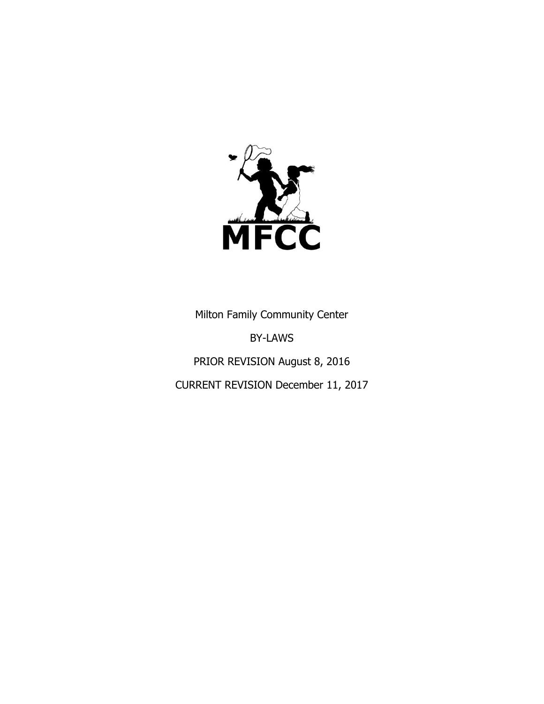

Milton Family Community Center

BY-LAWS

PRIOR REVISION August 8, 2016

CURRENT REVISION December 11, 2017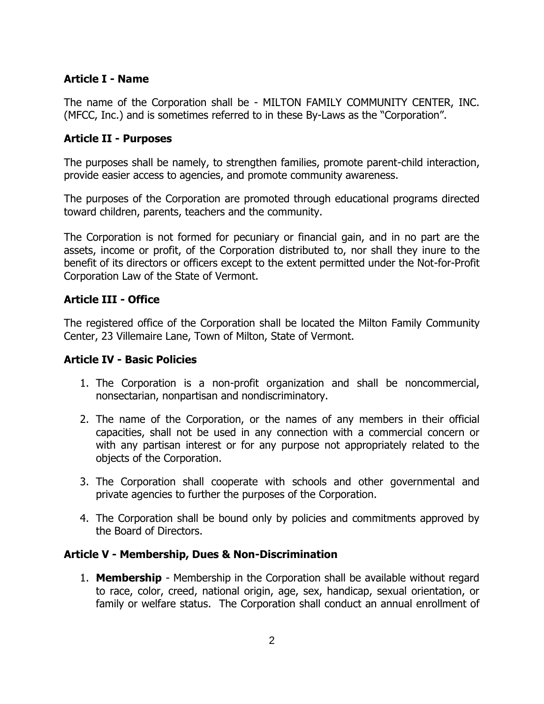## **Article I - Name**

The name of the Corporation shall be - MILTON FAMILY COMMUNITY CENTER, INC. (MFCC, Inc.) and is sometimes referred to in these By-Laws as the "Corporation".

## **Article II - Purposes**

The purposes shall be namely, to strengthen families, promote parent-child interaction, provide easier access to agencies, and promote community awareness.

The purposes of the Corporation are promoted through educational programs directed toward children, parents, teachers and the community.

The Corporation is not formed for pecuniary or financial gain, and in no part are the assets, income or profit, of the Corporation distributed to, nor shall they inure to the benefit of its directors or officers except to the extent permitted under the Not-for-Profit Corporation Law of the State of Vermont.

## **Article III - Office**

The registered office of the Corporation shall be located the Milton Family Community Center, 23 Villemaire Lane, Town of Milton, State of Vermont.

## **Article IV - Basic Policies**

- 1. The Corporation is a non-profit organization and shall be noncommercial, nonsectarian, nonpartisan and nondiscriminatory.
- 2. The name of the Corporation, or the names of any members in their official capacities, shall not be used in any connection with a commercial concern or with any partisan interest or for any purpose not appropriately related to the objects of the Corporation.
- 3. The Corporation shall cooperate with schools and other governmental and private agencies to further the purposes of the Corporation.
- 4. The Corporation shall be bound only by policies and commitments approved by the Board of Directors.

## **Article V - Membership, Dues & Non-Discrimination**

1. **Membership** - Membership in the Corporation shall be available without regard to race, color, creed, national origin, age, sex, handicap, sexual orientation, or family or welfare status. The Corporation shall conduct an annual enrollment of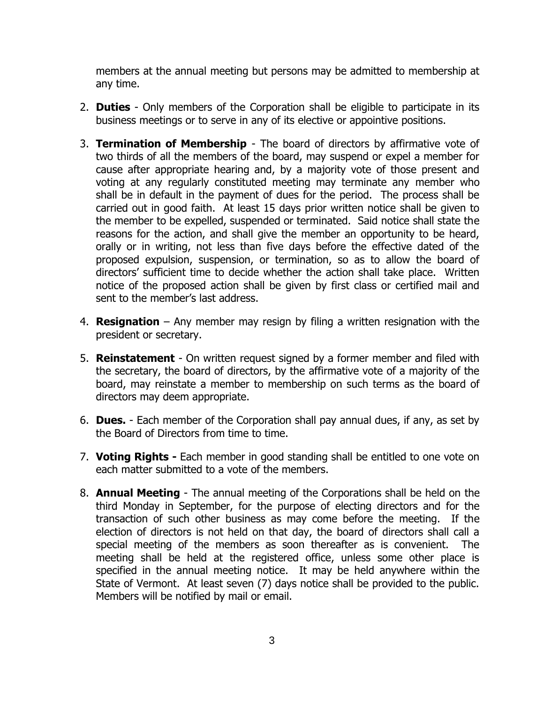members at the annual meeting but persons may be admitted to membership at any time.

- 2. **Duties**  Only members of the Corporation shall be eligible to participate in its business meetings or to serve in any of its elective or appointive positions.
- 3. **Termination of Membership** The board of directors by affirmative vote of two thirds of all the members of the board, may suspend or expel a member for cause after appropriate hearing and, by a majority vote of those present and voting at any regularly constituted meeting may terminate any member who shall be in default in the payment of dues for the period. The process shall be carried out in good faith. At least 15 days prior written notice shall be given to the member to be expelled, suspended or terminated. Said notice shall state the reasons for the action, and shall give the member an opportunity to be heard, orally or in writing, not less than five days before the effective dated of the proposed expulsion, suspension, or termination, so as to allow the board of directors' sufficient time to decide whether the action shall take place. Written notice of the proposed action shall be given by first class or certified mail and sent to the member's last address.
- 4. **Resignation** Any member may resign by filing a written resignation with the president or secretary.
- 5. **Reinstatement** On written request signed by a former member and filed with the secretary, the board of directors, by the affirmative vote of a majority of the board, may reinstate a member to membership on such terms as the board of directors may deem appropriate.
- 6. **Dues.** Each member of the Corporation shall pay annual dues, if any, as set by the Board of Directors from time to time.
- 7. **Voting Rights -** Each member in good standing shall be entitled to one vote on each matter submitted to a vote of the members.
- 8. **Annual Meeting** The annual meeting of the Corporations shall be held on the third Monday in September, for the purpose of electing directors and for the transaction of such other business as may come before the meeting. If the election of directors is not held on that day, the board of directors shall call a special meeting of the members as soon thereafter as is convenient. The meeting shall be held at the registered office, unless some other place is specified in the annual meeting notice. It may be held anywhere within the State of Vermont. At least seven (7) days notice shall be provided to the public. Members will be notified by mail or email.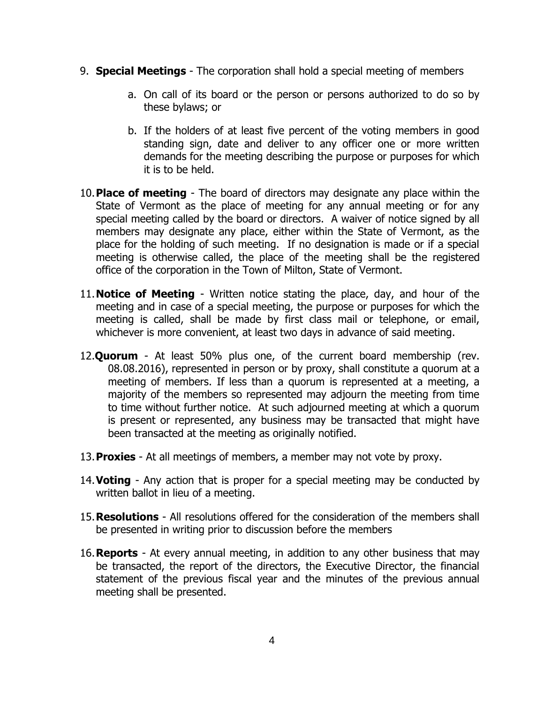- 9. **Special Meetings** The corporation shall hold a special meeting of members
	- a. On call of its board or the person or persons authorized to do so by these bylaws; or
	- b. If the holders of at least five percent of the voting members in good standing sign, date and deliver to any officer one or more written demands for the meeting describing the purpose or purposes for which it is to be held.
- 10.**Place of meeting** The board of directors may designate any place within the State of Vermont as the place of meeting for any annual meeting or for any special meeting called by the board or directors. A waiver of notice signed by all members may designate any place, either within the State of Vermont, as the place for the holding of such meeting. If no designation is made or if a special meeting is otherwise called, the place of the meeting shall be the registered office of the corporation in the Town of Milton, State of Vermont.
- 11.**Notice of Meeting** Written notice stating the place, day, and hour of the meeting and in case of a special meeting, the purpose or purposes for which the meeting is called, shall be made by first class mail or telephone, or email, whichever is more convenient, at least two days in advance of said meeting.
- 12.**Quorum** At least 50% plus one, of the current board membership (rev. 08.08.2016), represented in person or by proxy, shall constitute a quorum at a meeting of members. If less than a quorum is represented at a meeting, a majority of the members so represented may adjourn the meeting from time to time without further notice. At such adjourned meeting at which a quorum is present or represented, any business may be transacted that might have been transacted at the meeting as originally notified.
- 13.**Proxies** At all meetings of members, a member may not vote by proxy.
- 14.**Voting** Any action that is proper for a special meeting may be conducted by written ballot in lieu of a meeting.
- 15.**Resolutions** All resolutions offered for the consideration of the members shall be presented in writing prior to discussion before the members
- 16.**Reports** At every annual meeting, in addition to any other business that may be transacted, the report of the directors, the Executive Director, the financial statement of the previous fiscal year and the minutes of the previous annual meeting shall be presented.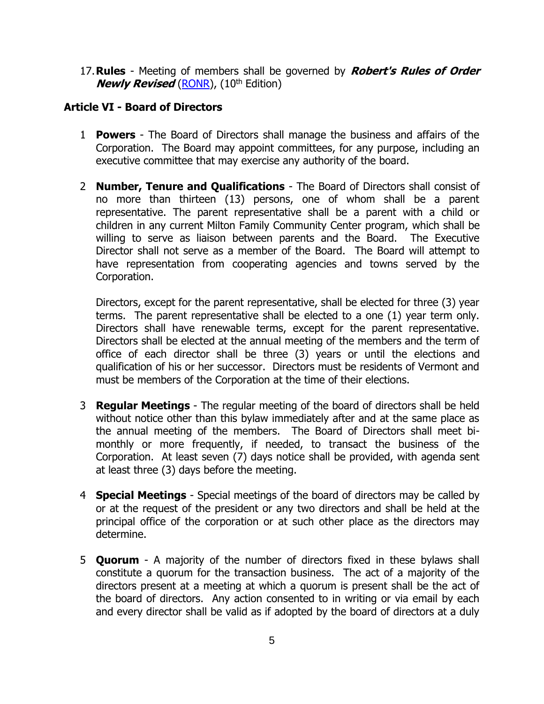17.**Rules** - Meeting of members shall be governed by **Robert's Rules of Order Newly Revised** [\(RONR\)](javascript:popUp(), (10<sup>th</sup> Edition)

## **Article VI - Board of Directors**

- 1 **Powers** The Board of Directors shall manage the business and affairs of the Corporation. The Board may appoint committees, for any purpose, including an executive committee that may exercise any authority of the board.
- 2 **Number, Tenure and Qualifications** The Board of Directors shall consist of no more than thirteen (13) persons, one of whom shall be a parent representative. The parent representative shall be a parent with a child or children in any current Milton Family Community Center program, which shall be willing to serve as liaison between parents and the Board. The Executive Director shall not serve as a member of the Board. The Board will attempt to have representation from cooperating agencies and towns served by the Corporation.

Directors, except for the parent representative, shall be elected for three (3) year terms. The parent representative shall be elected to a one (1) year term only. Directors shall have renewable terms, except for the parent representative. Directors shall be elected at the annual meeting of the members and the term of office of each director shall be three (3) years or until the elections and qualification of his or her successor. Directors must be residents of Vermont and must be members of the Corporation at the time of their elections.

- 3 **Regular Meetings** The regular meeting of the board of directors shall be held without notice other than this bylaw immediately after and at the same place as the annual meeting of the members. The Board of Directors shall meet bimonthly or more frequently, if needed, to transact the business of the Corporation. At least seven (7) days notice shall be provided, with agenda sent at least three (3) days before the meeting.
- 4 **Special Meetings** Special meetings of the board of directors may be called by or at the request of the president or any two directors and shall be held at the principal office of the corporation or at such other place as the directors may determine.
- 5 **Quorum** A majority of the number of directors fixed in these bylaws shall constitute a quorum for the transaction business. The act of a majority of the directors present at a meeting at which a quorum is present shall be the act of the board of directors. Any action consented to in writing or via email by each and every director shall be valid as if adopted by the board of directors at a duly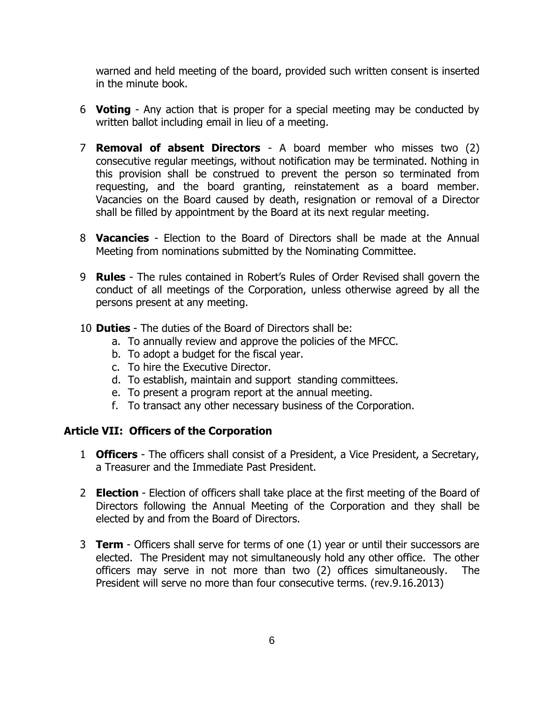warned and held meeting of the board, provided such written consent is inserted in the minute book.

- 6 **Voting** Any action that is proper for a special meeting may be conducted by written ballot including email in lieu of a meeting.
- 7 **Removal of absent Directors** A board member who misses two (2) consecutive regular meetings, without notification may be terminated. Nothing in this provision shall be construed to prevent the person so terminated from requesting, and the board granting, reinstatement as a board member. Vacancies on the Board caused by death, resignation or removal of a Director shall be filled by appointment by the Board at its next regular meeting.
- 8 **Vacancies** Election to the Board of Directors shall be made at the Annual Meeting from nominations submitted by the Nominating Committee.
- 9 **Rules** The rules contained in Robert's Rules of Order Revised shall govern the conduct of all meetings of the Corporation, unless otherwise agreed by all the persons present at any meeting.
- 10 **Duties** The duties of the Board of Directors shall be:
	- a. To annually review and approve the policies of the MFCC.
	- b. To adopt a budget for the fiscal year.
	- c. To hire the Executive Director.
	- d. To establish, maintain and support standing committees.
	- e. To present a program report at the annual meeting.
	- f. To transact any other necessary business of the Corporation.

## **Article VII: Officers of the Corporation**

- 1 **Officers** The officers shall consist of a President, a Vice President, a Secretary, a Treasurer and the Immediate Past President.
- 2 **Election**  Election of officers shall take place at the first meeting of the Board of Directors following the Annual Meeting of the Corporation and they shall be elected by and from the Board of Directors.
- 3 **Term**  Officers shall serve for terms of one (1) year or until their successors are elected. The President may not simultaneously hold any other office. The other officers may serve in not more than two (2) offices simultaneously. The President will serve no more than four consecutive terms. (rev.9.16.2013)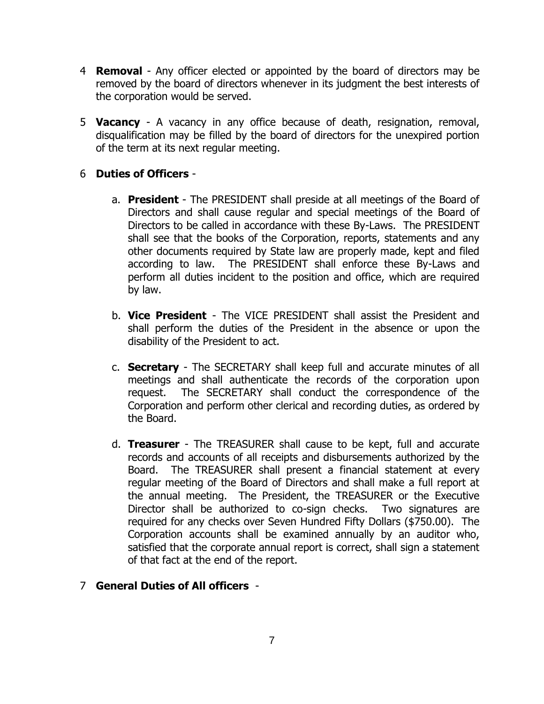- 4 **Removal**  Any officer elected or appointed by the board of directors may be removed by the board of directors whenever in its judgment the best interests of the corporation would be served.
- 5 **Vacancy** A vacancy in any office because of death, resignation, removal, disqualification may be filled by the board of directors for the unexpired portion of the term at its next regular meeting.

## 6 **Duties of Officers** -

- a. **President**  The PRESIDENT shall preside at all meetings of the Board of Directors and shall cause regular and special meetings of the Board of Directors to be called in accordance with these By-Laws. The PRESIDENT shall see that the books of the Corporation, reports, statements and any other documents required by State law are properly made, kept and filed according to law. The PRESIDENT shall enforce these By-Laws and perform all duties incident to the position and office, which are required by law.
- b. **Vice President** The VICE PRESIDENT shall assist the President and shall perform the duties of the President in the absence or upon the disability of the President to act.
- c. **Secretary** The SECRETARY shall keep full and accurate minutes of all meetings and shall authenticate the records of the corporation upon request. The SECRETARY shall conduct the correspondence of the Corporation and perform other clerical and recording duties, as ordered by the Board.
- d. **Treasurer** The TREASURER shall cause to be kept, full and accurate records and accounts of all receipts and disbursements authorized by the Board. The TREASURER shall present a financial statement at every regular meeting of the Board of Directors and shall make a full report at the annual meeting. The President, the TREASURER or the Executive Director shall be authorized to co-sign checks. Two signatures are required for any checks over Seven Hundred Fifty Dollars (\$750.00). The Corporation accounts shall be examined annually by an auditor who, satisfied that the corporate annual report is correct, shall sign a statement of that fact at the end of the report.

## 7 **General Duties of All officers** -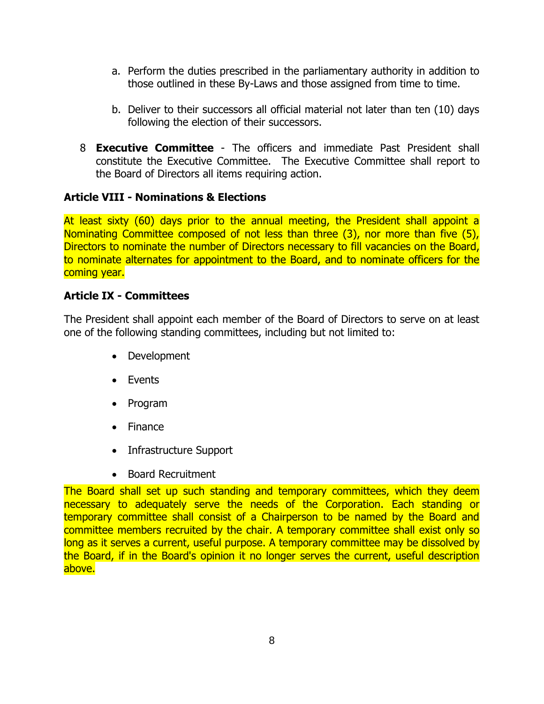- a. Perform the duties prescribed in the parliamentary authority in addition to those outlined in these By-Laws and those assigned from time to time.
- b. Deliver to their successors all official material not later than ten (10) days following the election of their successors.
- 8 **Executive Committee** The officers and immediate Past President shall constitute the Executive Committee. The Executive Committee shall report to the Board of Directors all items requiring action.

## **Article VIII - Nominations & Elections**

At least sixty (60) days prior to the annual meeting, the President shall appoint a Nominating Committee composed of not less than three (3), nor more than five (5), Directors to nominate the number of Directors necessary to fill vacancies on the Board, to nominate alternates for appointment to the Board, and to nominate officers for the coming year.

#### **Article IX - Committees**

The President shall appoint each member of the Board of Directors to serve on at least one of the following standing committees, including but not limited to:

- Development
- Events
- Program
- Finance
- Infrastructure Support
- Board Recruitment

The Board shall set up such standing and temporary committees, which they deem necessary to adequately serve the needs of the Corporation. Each standing or temporary committee shall consist of a Chairperson to be named by the Board and committee members recruited by the chair. A temporary committee shall exist only so long as it serves a current, useful purpose. A temporary committee may be dissolved by the Board, if in the Board's opinion it no longer serves the current, useful description above.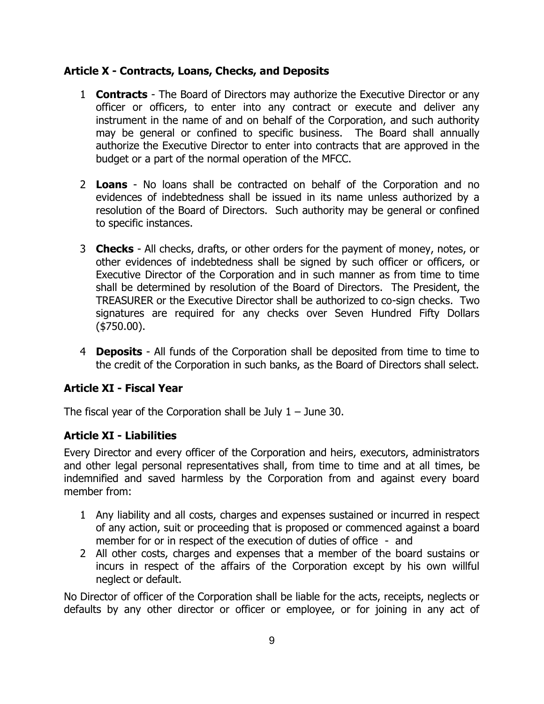#### **Article X - Contracts, Loans, Checks, and Deposits**

- 1 **Contracts** The Board of Directors may authorize the Executive Director or any officer or officers, to enter into any contract or execute and deliver any instrument in the name of and on behalf of the Corporation, and such authority may be general or confined to specific business. The Board shall annually authorize the Executive Director to enter into contracts that are approved in the budget or a part of the normal operation of the MFCC.
- 2 **Loans** No loans shall be contracted on behalf of the Corporation and no evidences of indebtedness shall be issued in its name unless authorized by a resolution of the Board of Directors. Such authority may be general or confined to specific instances.
- 3 **Checks** All checks, drafts, or other orders for the payment of money, notes, or other evidences of indebtedness shall be signed by such officer or officers, or Executive Director of the Corporation and in such manner as from time to time shall be determined by resolution of the Board of Directors. The President, the TREASURER or the Executive Director shall be authorized to co-sign checks. Two signatures are required for any checks over Seven Hundred Fifty Dollars (\$750.00).
- 4 **Deposits** All funds of the Corporation shall be deposited from time to time to the credit of the Corporation in such banks, as the Board of Directors shall select.

## **Article XI - Fiscal Year**

The fiscal year of the Corporation shall be July  $1 -$  June 30.

## **Article XI - Liabilities**

Every Director and every officer of the Corporation and heirs, executors, administrators and other legal personal representatives shall, from time to time and at all times, be indemnified and saved harmless by the Corporation from and against every board member from:

- 1 Any liability and all costs, charges and expenses sustained or incurred in respect of any action, suit or proceeding that is proposed or commenced against a board member for or in respect of the execution of duties of office - and
- 2 All other costs, charges and expenses that a member of the board sustains or incurs in respect of the affairs of the Corporation except by his own willful neglect or default.

No Director of officer of the Corporation shall be liable for the acts, receipts, neglects or defaults by any other director or officer or employee, or for joining in any act of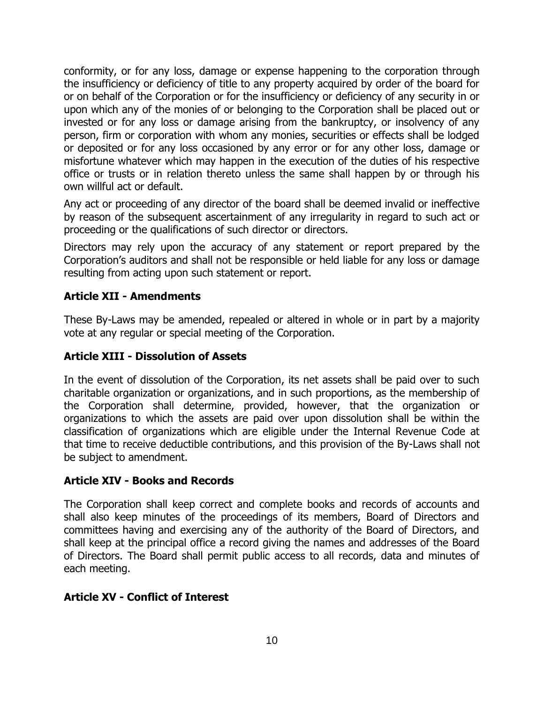conformity, or for any loss, damage or expense happening to the corporation through the insufficiency or deficiency of title to any property acquired by order of the board for or on behalf of the Corporation or for the insufficiency or deficiency of any security in or upon which any of the monies of or belonging to the Corporation shall be placed out or invested or for any loss or damage arising from the bankruptcy, or insolvency of any person, firm or corporation with whom any monies, securities or effects shall be lodged or deposited or for any loss occasioned by any error or for any other loss, damage or misfortune whatever which may happen in the execution of the duties of his respective office or trusts or in relation thereto unless the same shall happen by or through his own willful act or default.

Any act or proceeding of any director of the board shall be deemed invalid or ineffective by reason of the subsequent ascertainment of any irregularity in regard to such act or proceeding or the qualifications of such director or directors.

Directors may rely upon the accuracy of any statement or report prepared by the Corporation's auditors and shall not be responsible or held liable for any loss or damage resulting from acting upon such statement or report.

## **Article XII - Amendments**

These By-Laws may be amended, repealed or altered in whole or in part by a majority vote at any regular or special meeting of the Corporation.

# **Article XIII - Dissolution of Assets**

In the event of dissolution of the Corporation, its net assets shall be paid over to such charitable organization or organizations, and in such proportions, as the membership of the Corporation shall determine, provided, however, that the organization or organizations to which the assets are paid over upon dissolution shall be within the classification of organizations which are eligible under the Internal Revenue Code at that time to receive deductible contributions, and this provision of the By-Laws shall not be subject to amendment.

## **Article XIV - Books and Records**

The Corporation shall keep correct and complete books and records of accounts and shall also keep minutes of the proceedings of its members, Board of Directors and committees having and exercising any of the authority of the Board of Directors, and shall keep at the principal office a record giving the names and addresses of the Board of Directors. The Board shall permit public access to all records, data and minutes of each meeting.

## **Article XV - Conflict of Interest**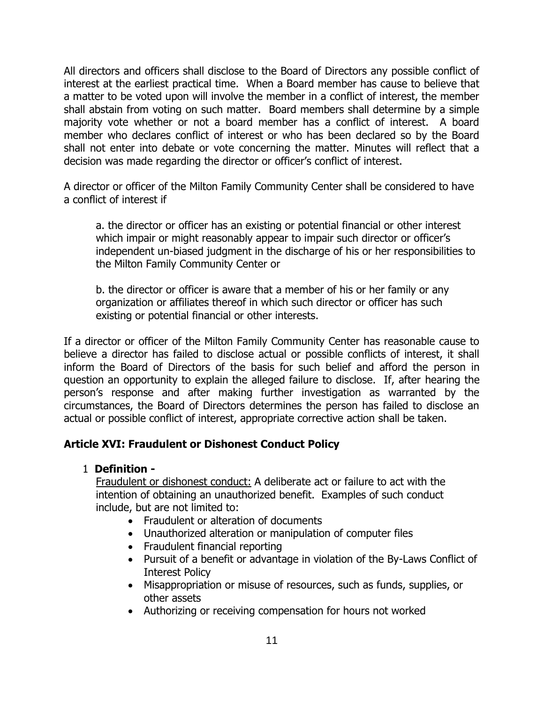All directors and officers shall disclose to the Board of Directors any possible conflict of interest at the earliest practical time. When a Board member has cause to believe that a matter to be voted upon will involve the member in a conflict of interest, the member shall abstain from voting on such matter. Board members shall determine by a simple majority vote whether or not a board member has a conflict of interest. A board member who declares conflict of interest or who has been declared so by the Board shall not enter into debate or vote concerning the matter. Minutes will reflect that a decision was made regarding the director or officer's conflict of interest.

A director or officer of the Milton Family Community Center shall be considered to have a conflict of interest if

a. the director or officer has an existing or potential financial or other interest which impair or might reasonably appear to impair such director or officer's independent un-biased judgment in the discharge of his or her responsibilities to the Milton Family Community Center or

b. the director or officer is aware that a member of his or her family or any organization or affiliates thereof in which such director or officer has such existing or potential financial or other interests.

If a director or officer of the Milton Family Community Center has reasonable cause to believe a director has failed to disclose actual or possible conflicts of interest, it shall inform the Board of Directors of the basis for such belief and afford the person in question an opportunity to explain the alleged failure to disclose. If, after hearing the person's response and after making further investigation as warranted by the circumstances, the Board of Directors determines the person has failed to disclose an actual or possible conflict of interest, appropriate corrective action shall be taken.

## **Article XVI: Fraudulent or Dishonest Conduct Policy**

#### 1 **Definition -**

Fraudulent or dishonest conduct: A deliberate act or failure to act with the intention of obtaining an unauthorized benefit. Examples of such conduct include, but are not limited to:

- Fraudulent or alteration of documents
- Unauthorized alteration or manipulation of computer files
- Fraudulent financial reporting
- Pursuit of a benefit or advantage in violation of the By-Laws Conflict of Interest Policy
- Misappropriation or misuse of resources, such as funds, supplies, or other assets
- Authorizing or receiving compensation for hours not worked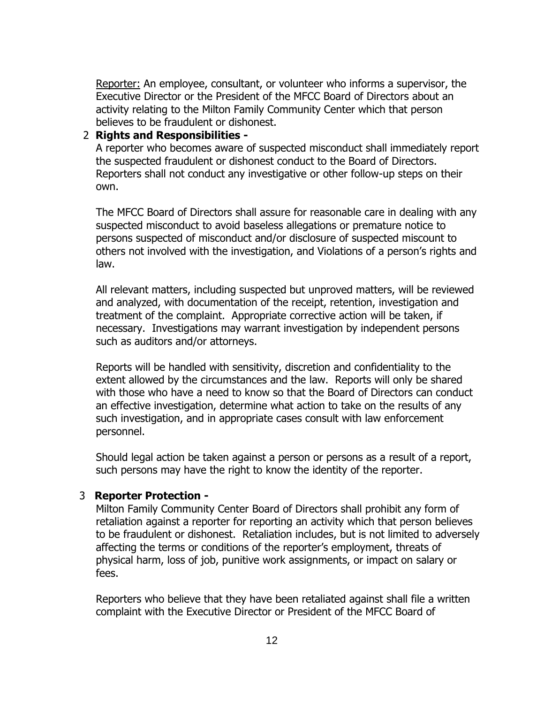Reporter: An employee, consultant, or volunteer who informs a supervisor, the Executive Director or the President of the MFCC Board of Directors about an activity relating to the Milton Family Community Center which that person believes to be fraudulent or dishonest.

#### 2 **Rights and Responsibilities -**

A reporter who becomes aware of suspected misconduct shall immediately report the suspected fraudulent or dishonest conduct to the Board of Directors. Reporters shall not conduct any investigative or other follow-up steps on their own.

The MFCC Board of Directors shall assure for reasonable care in dealing with any suspected misconduct to avoid baseless allegations or premature notice to persons suspected of misconduct and/or disclosure of suspected miscount to others not involved with the investigation, and Violations of a person's rights and law.

All relevant matters, including suspected but unproved matters, will be reviewed and analyzed, with documentation of the receipt, retention, investigation and treatment of the complaint. Appropriate corrective action will be taken, if necessary. Investigations may warrant investigation by independent persons such as auditors and/or attorneys.

Reports will be handled with sensitivity, discretion and confidentiality to the extent allowed by the circumstances and the law. Reports will only be shared with those who have a need to know so that the Board of Directors can conduct an effective investigation, determine what action to take on the results of any such investigation, and in appropriate cases consult with law enforcement personnel.

Should legal action be taken against a person or persons as a result of a report, such persons may have the right to know the identity of the reporter.

#### 3 **Reporter Protection -**

Milton Family Community Center Board of Directors shall prohibit any form of retaliation against a reporter for reporting an activity which that person believes to be fraudulent or dishonest. Retaliation includes, but is not limited to adversely affecting the terms or conditions of the reporter's employment, threats of physical harm, loss of job, punitive work assignments, or impact on salary or fees.

Reporters who believe that they have been retaliated against shall file a written complaint with the Executive Director or President of the MFCC Board of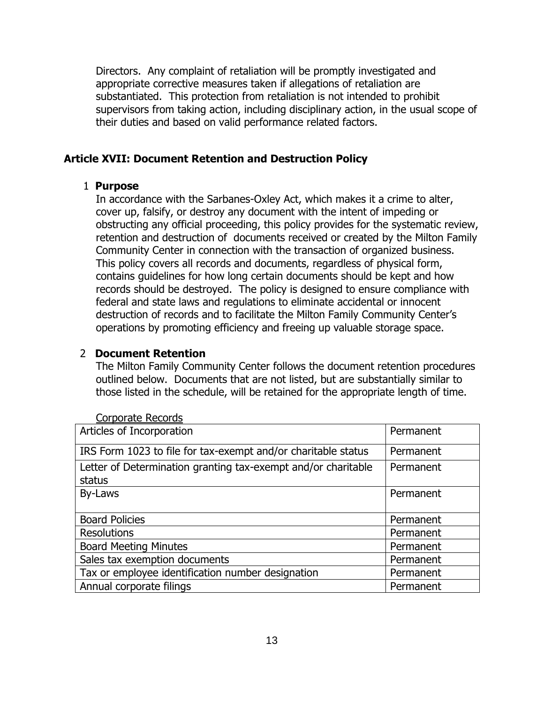Directors. Any complaint of retaliation will be promptly investigated and appropriate corrective measures taken if allegations of retaliation are substantiated. This protection from retaliation is not intended to prohibit supervisors from taking action, including disciplinary action, in the usual scope of their duties and based on valid performance related factors.

#### **Article XVII: Document Retention and Destruction Policy**

#### 1 **Purpose**

In accordance with the Sarbanes-Oxley Act, which makes it a crime to alter, cover up, falsify, or destroy any document with the intent of impeding or obstructing any official proceeding, this policy provides for the systematic review, retention and destruction of documents received or created by the Milton Family Community Center in connection with the transaction of organized business. This policy covers all records and documents, regardless of physical form, contains guidelines for how long certain documents should be kept and how records should be destroyed. The policy is designed to ensure compliance with federal and state laws and regulations to eliminate accidental or innocent destruction of records and to facilitate the Milton Family Community Center's operations by promoting efficiency and freeing up valuable storage space.

#### 2 **Document Retention**

The Milton Family Community Center follows the document retention procedures outlined below. Documents that are not listed, but are substantially similar to those listed in the schedule, will be retained for the appropriate length of time.

| Curporate Recurus                                                       |           |
|-------------------------------------------------------------------------|-----------|
| Articles of Incorporation                                               | Permanent |
| IRS Form 1023 to file for tax-exempt and/or charitable status           | Permanent |
| Letter of Determination granting tax-exempt and/or charitable<br>status | Permanent |
| By-Laws                                                                 | Permanent |
| <b>Board Policies</b>                                                   | Permanent |
| <b>Resolutions</b>                                                      | Permanent |
| <b>Board Meeting Minutes</b>                                            | Permanent |
| Sales tax exemption documents                                           | Permanent |
| Tax or employee identification number designation                       | Permanent |
| Annual corporate filings                                                | Permanent |

Corporate Records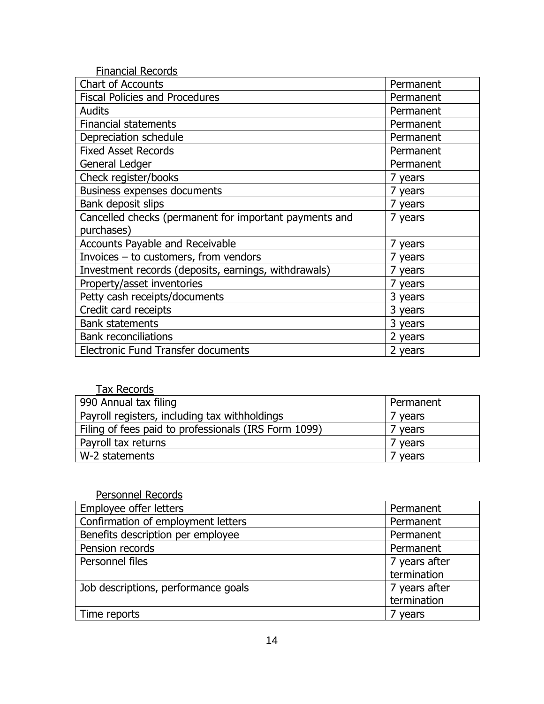| <b>Financial Records</b>                               |           |
|--------------------------------------------------------|-----------|
| <b>Chart of Accounts</b>                               | Permanent |
| <b>Fiscal Policies and Procedures</b>                  | Permanent |
| <b>Audits</b>                                          | Permanent |
| <b>Financial statements</b>                            | Permanent |
| Depreciation schedule                                  | Permanent |
| <b>Fixed Asset Records</b>                             | Permanent |
| General Ledger                                         | Permanent |
| Check register/books                                   | 7 years   |
| <b>Business expenses documents</b>                     | 7 years   |
| Bank deposit slips                                     | 7 years   |
| Cancelled checks (permanent for important payments and | 7 years   |
| purchases)                                             |           |
| <b>Accounts Payable and Receivable</b>                 | 7 years   |
| Invoices - to customers, from vendors                  | 7 years   |
| Investment records (deposits, earnings, withdrawals)   | 7 years   |
| Property/asset inventories                             | 7 years   |
| Petty cash receipts/documents                          | 3 years   |
| Credit card receipts                                   | 3 years   |
| <b>Bank statements</b>                                 | 3 years   |
| <b>Bank reconciliations</b>                            | 2 years   |
| <b>Electronic Fund Transfer documents</b>              | 2 years   |

| <b>Tax Records</b>                                   |           |
|------------------------------------------------------|-----------|
| 990 Annual tax filing                                | Permanent |
| Payroll registers, including tax withholdings        | ' years   |
| Filing of fees paid to professionals (IRS Form 1099) | years     |
| Payroll tax returns                                  | years     |
| W-2 statements                                       | years     |

| Personnel Records                   |               |
|-------------------------------------|---------------|
| Employee offer letters              | Permanent     |
| Confirmation of employment letters  | Permanent     |
| Benefits description per employee   | Permanent     |
| Pension records                     | Permanent     |
| Personnel files                     | 7 years after |
|                                     | termination   |
| Job descriptions, performance goals | 7 years after |
|                                     | termination   |
| Time reports                        | years         |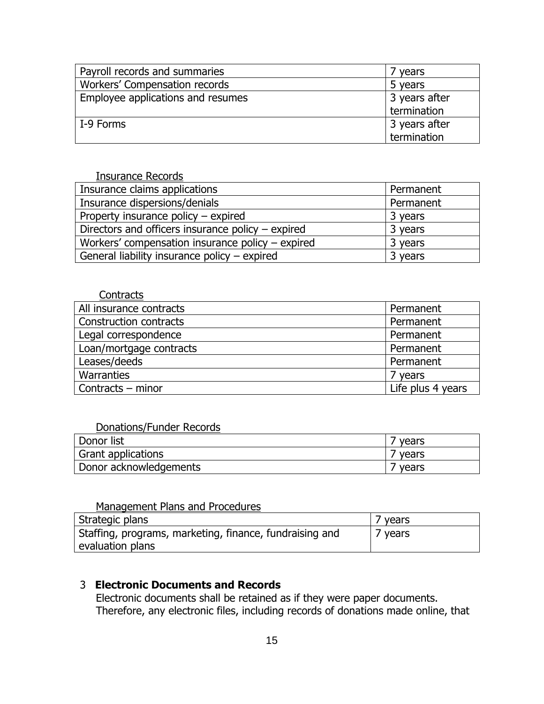| Payroll records and summaries     | years         |
|-----------------------------------|---------------|
| Workers' Compensation records     | 5 years       |
| Employee applications and resumes | 3 years after |
|                                   | termination   |
| I-9 Forms                         | 3 years after |
|                                   | termination   |

| <b>Insurance Records</b>                            |           |
|-----------------------------------------------------|-----------|
| Insurance claims applications                       | Permanent |
| Insurance dispersions/denials                       | Permanent |
| Property insurance policy - expired                 | 3 years   |
| Directors and officers insurance policy $-$ expired | 3 years   |
| Workers' compensation insurance policy – expired    | 3 years   |
| General liability insurance policy - expired        | 3 years   |

#### **Contracts**

| All insurance contracts | Permanent         |
|-------------------------|-------------------|
| Construction contracts  | Permanent         |
| Legal correspondence    | Permanent         |
| Loan/mortgage contracts | Permanent         |
| Leases/deeds            | Permanent         |
| Warranties              | 7 years           |
| Contracts - minor       | Life plus 4 years |

# Donations/Funder Records

| Donor list             | vears |
|------------------------|-------|
| Grant applications     | years |
| Donor acknowledgements | vears |

## Management Plans and Procedures

| Strategic plans                                         | years   |
|---------------------------------------------------------|---------|
| Staffing, programs, marketing, finance, fundraising and | 7 years |
| evaluation plans                                        |         |

# 3 **Electronic Documents and Records**

Electronic documents shall be retained as if they were paper documents. Therefore, any electronic files, including records of donations made online, that